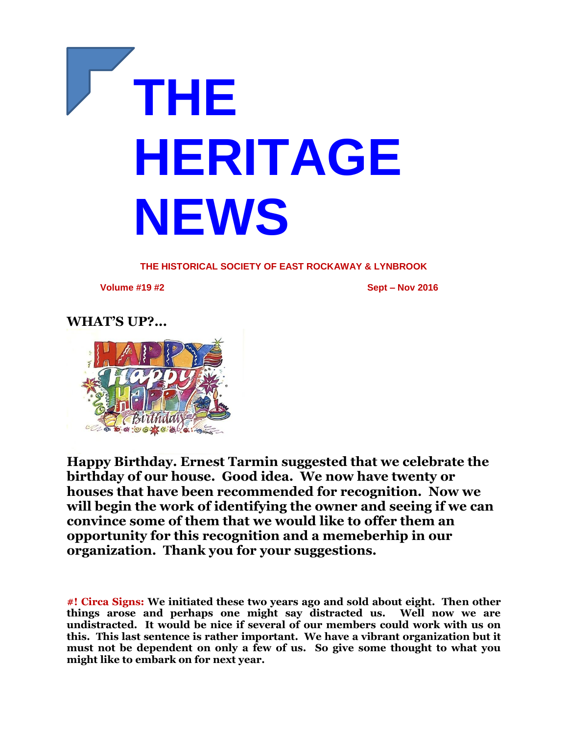

**THE HISTORICAL SOCIETY OF EAST ROCKAWAY & LYNBROOK**

**Volume #19 #2 Sept – Nov 2016**

## **WHAT'S UP?...**



**Happy Birthday. Ernest Tarmin suggested that we celebrate the birthday of our house. Good idea. We now have twenty or houses that have been recommended for recognition. Now we will begin the work of identifying the owner and seeing if we can convince some of them that we would like to offer them an opportunity for this recognition and a memeberhip in our organization. Thank you for your suggestions.** 

**#! Circa Signs: We initiated these two years ago and sold about eight. Then other things arose and perhaps one might say distracted us. Well now we are undistracted. It would be nice if several of our members could work with us on this. This last sentence is rather important. We have a vibrant organization but it must not be dependent on only a few of us. So give some thought to what you might like to embark on for next year.**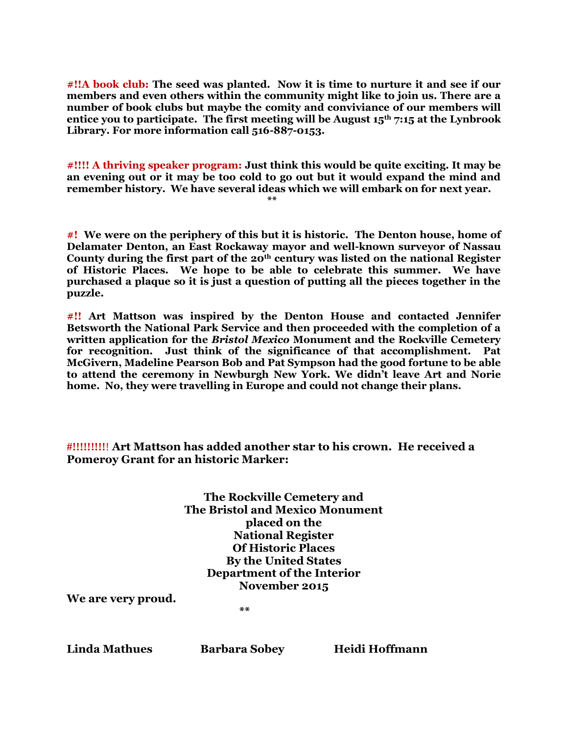**#!!A book club: The seed was planted. Now it is time to nurture it and see if our members and even others within the community might like to join us. There are a number of book clubs but maybe the comity and conviviance of our members will entice you to participate. The first meeting will be August 15th 7:15 at the Lynbrook Library. For more information call 516-887-0153.**

**#!!!! A thriving speaker program: Just think this would be quite exciting. It may be an evening out or it may be too cold to go out but it would expand the mind and remember history. We have several ideas which we will embark on for next year.** 

**\*\***

**#! We were on the periphery of this but it is historic. The Denton house, home of Delamater Denton, an East Rockaway mayor and well-known surveyor of Nassau County during the first part of the 20th century was listed on the national Register of Historic Places. We hope to be able to celebrate this summer. We have purchased a plaque so it is just a question of putting all the pieces together in the puzzle.**

**#!! Art Mattson was inspired by the Denton House and contacted Jennifer Betsworth the National Park Service and then proceeded with the completion of a written application for the** *Bristol Mexico* **Monument and the Rockville Cemetery for recognition. Just think of the significance of that accomplishment. Pat McGivern, Madeline Pearson Bob and Pat Sympson had the good fortune to be able to attend the ceremony in Newburgh New York. We didn't leave Art and Norie home. No, they were travelling in Europe and could not change their plans.** 

**#!!!!!!!!!**! **Art Mattson has added another star to his crown. He received a Pomeroy Grant for an historic Marker:**

| The Rockville Cemetery and             |
|----------------------------------------|
| <b>The Bristol and Mexico Monument</b> |
| placed on the                          |
| <b>National Register</b>               |
| <b>Of Historic Places</b>              |
| <b>By the United States</b>            |
| Department of the Interior             |
| November 2015                          |
|                                        |

**We are very proud.**

 **\*\***

**Linda Mathues Barbara Sobey Heidi Hoffmann**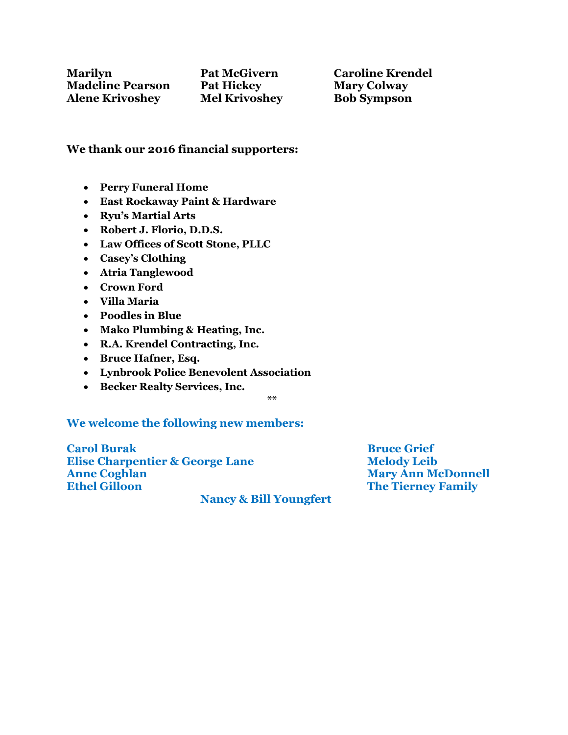## **We thank our 2016 financial supporters:**

- **Perry Funeral Home**
- **East Rockaway Paint & Hardware**
- **Ryu's Martial Arts**
- **Robert J. Florio, D.D.S.**
- **Law Offices of Scott Stone, PLLC**
- **Casey's Clothing**
- **Atria Tanglewood**
- **Crown Ford**
- **Villa Maria**
- **Poodles in Blue**
- **Mako Plumbing & Heating, Inc.**
- **R.A. Krendel Contracting, Inc.**
- **Bruce Hafner, Esq.**
- **Lynbrook Police Benevolent Association**
- **Becker Realty Services, Inc.**

**\*\***

## **We welcome the following new members:**

**Carol Burak Bruce Grief Elise Charpentier & George Lane Melody Leib Anne Coghlan Mary Ann McDonnell Ethel Gilloon The Tierney Family**

 **Nancy & Bill Youngfert**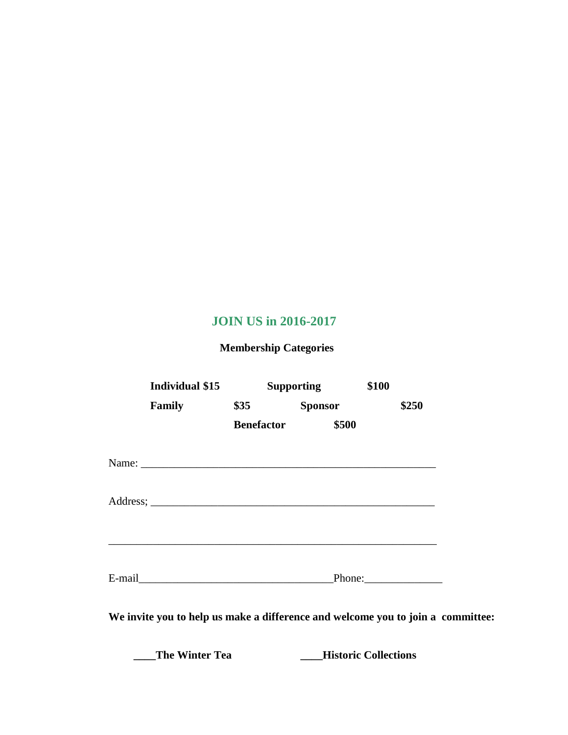## **JOIN US in 2016-2017**

 **Membership Categories**

| Individual \$15                                                                                                                                                                                                                |                   | <b>Supporting</b> | \$100                       |  |
|--------------------------------------------------------------------------------------------------------------------------------------------------------------------------------------------------------------------------------|-------------------|-------------------|-----------------------------|--|
| <b>Family</b>                                                                                                                                                                                                                  | $\$35$            | <b>Sponsor</b>    | \$250                       |  |
|                                                                                                                                                                                                                                | <b>Benefactor</b> | \$500             |                             |  |
|                                                                                                                                                                                                                                |                   |                   |                             |  |
|                                                                                                                                                                                                                                |                   |                   |                             |  |
|                                                                                                                                                                                                                                |                   |                   |                             |  |
| E-mail expression and the mail of the mail of the mail of the mail of the mail of the mail of the mail of the mail of the mail of the mail of the mail of the mail of the mail of the mail of the mail of the mail of the mail |                   |                   | Phone:                      |  |
| We invite you to help us make a difference and welcome you to join a committee:                                                                                                                                                |                   |                   |                             |  |
| <b>The Winter Tea</b>                                                                                                                                                                                                          |                   |                   | <b>Historic Collections</b> |  |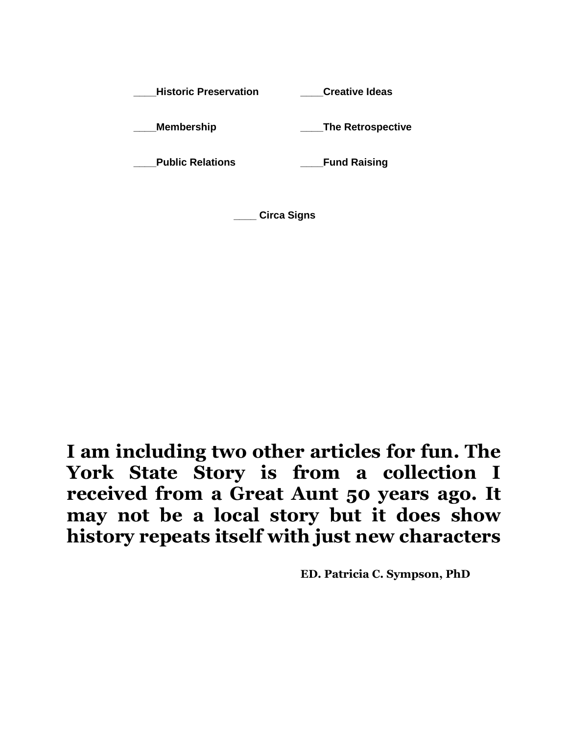**\_\_\_\_Historic Preservation \_\_\_\_Creative Ideas \_\_\_\_Membership \_\_\_\_The Retrospective \_\_\_\_Public Relations \_\_\_\_Fund Raising** 

**\_\_\_\_ Circa Signs** 

**I am including two other articles for fun. The York State Story is from a collection I received from a Great Aunt 50 years ago. It may not be a local story but it does show history repeats itself with just new characters**

**ED. Patricia C. Sympson, PhD**